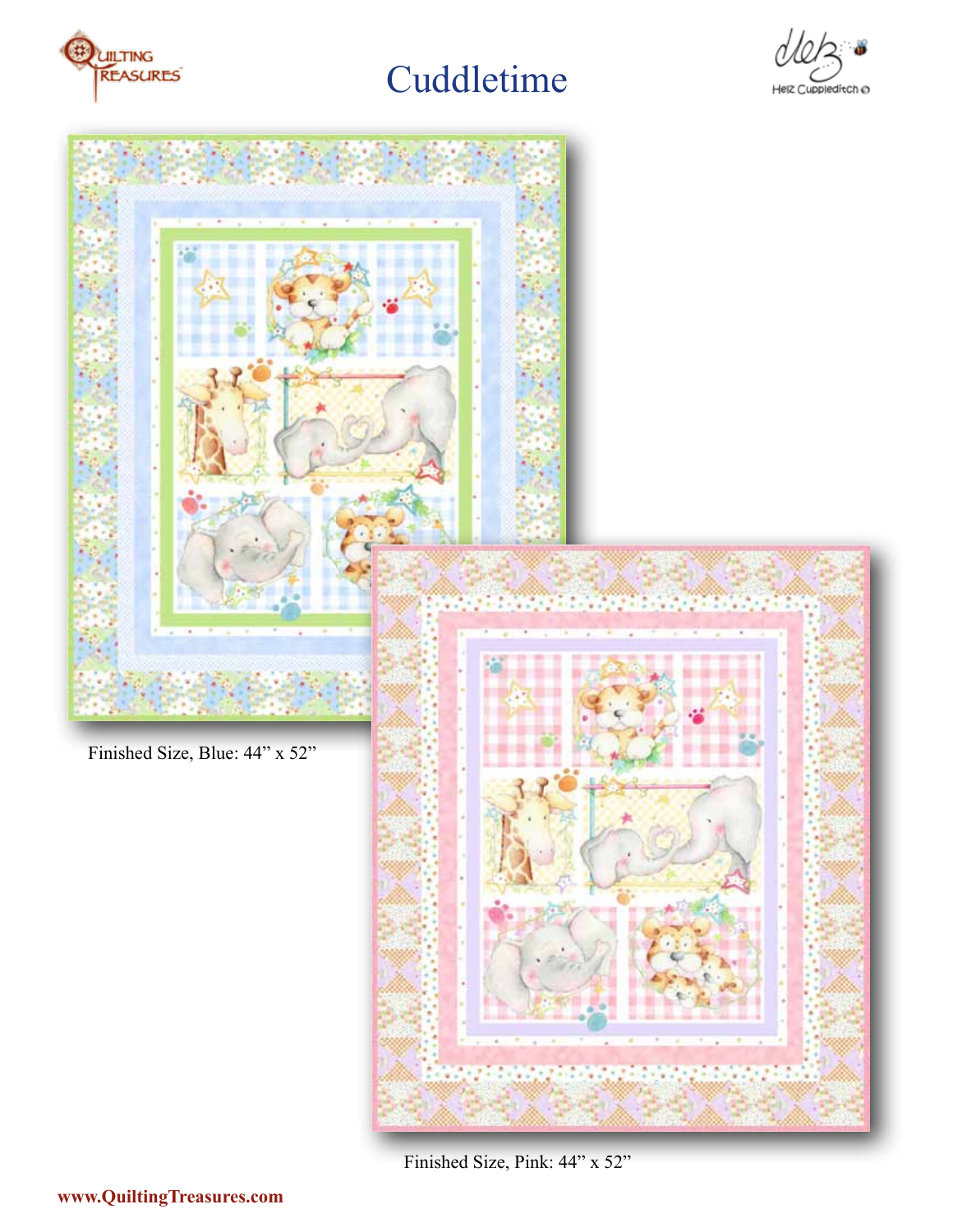





Finished Size, Pink: 44" x 52"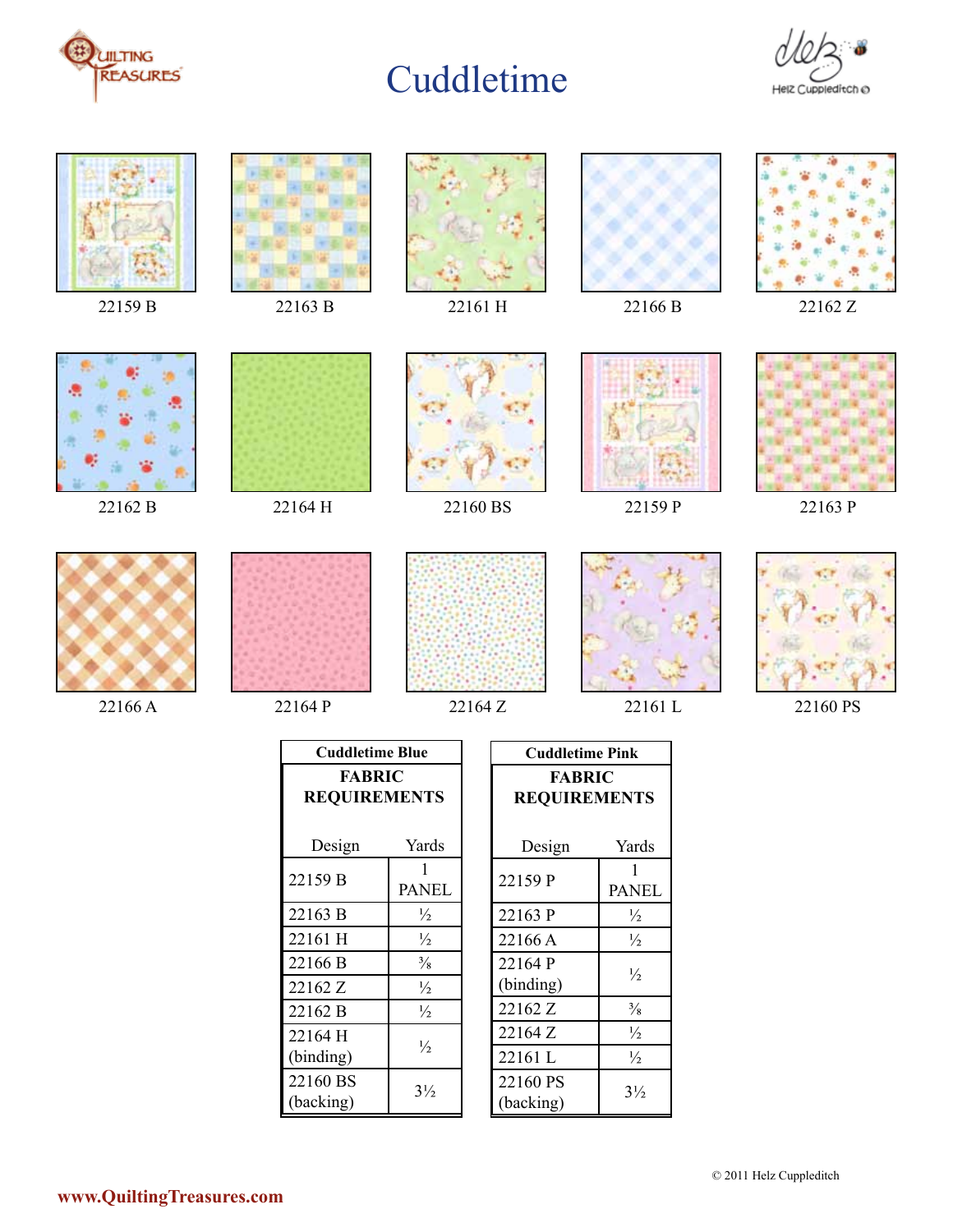





| Cuddletime Blue     |                |  |
|---------------------|----------------|--|
| <b>FABRIC</b>       |                |  |
| <b>REQUIREMENTS</b> |                |  |
|                     |                |  |
| Design              | Yards          |  |
| 22159 B             | 1              |  |
|                     | <b>PANEL</b>   |  |
| 22163 B             | $\frac{1}{2}$  |  |
| 22161 H             | $\frac{1}{2}$  |  |
| 22166 B             | $\frac{3}{8}$  |  |
| 22162 Z             | $\frac{1}{2}$  |  |
| 22162 B             | $\frac{1}{2}$  |  |
| 22164 H             | ½              |  |
| (binding)           |                |  |
| 22160 BS            | $3\frac{1}{2}$ |  |
| (backing)           |                |  |

| <b>Cuddletime Pink</b>               |                   |
|--------------------------------------|-------------------|
| <b>FABRIC</b><br><b>REQUIREMENTS</b> |                   |
| Design                               | Yards             |
| 22159 P                              | 1<br><b>PANEL</b> |
| 22163 P                              | $\frac{1}{2}$     |
| 22166 A                              | $\frac{1}{2}$     |
| 22164 P<br>(binding)                 | $\frac{1}{2}$     |
| 22162 Z                              | $\frac{3}{8}$     |
| 22164 Z                              | $\frac{1}{2}$     |
| 22161L                               | $\frac{1}{2}$     |
| 22160 PS<br>(backing)                | $3\frac{1}{2}$    |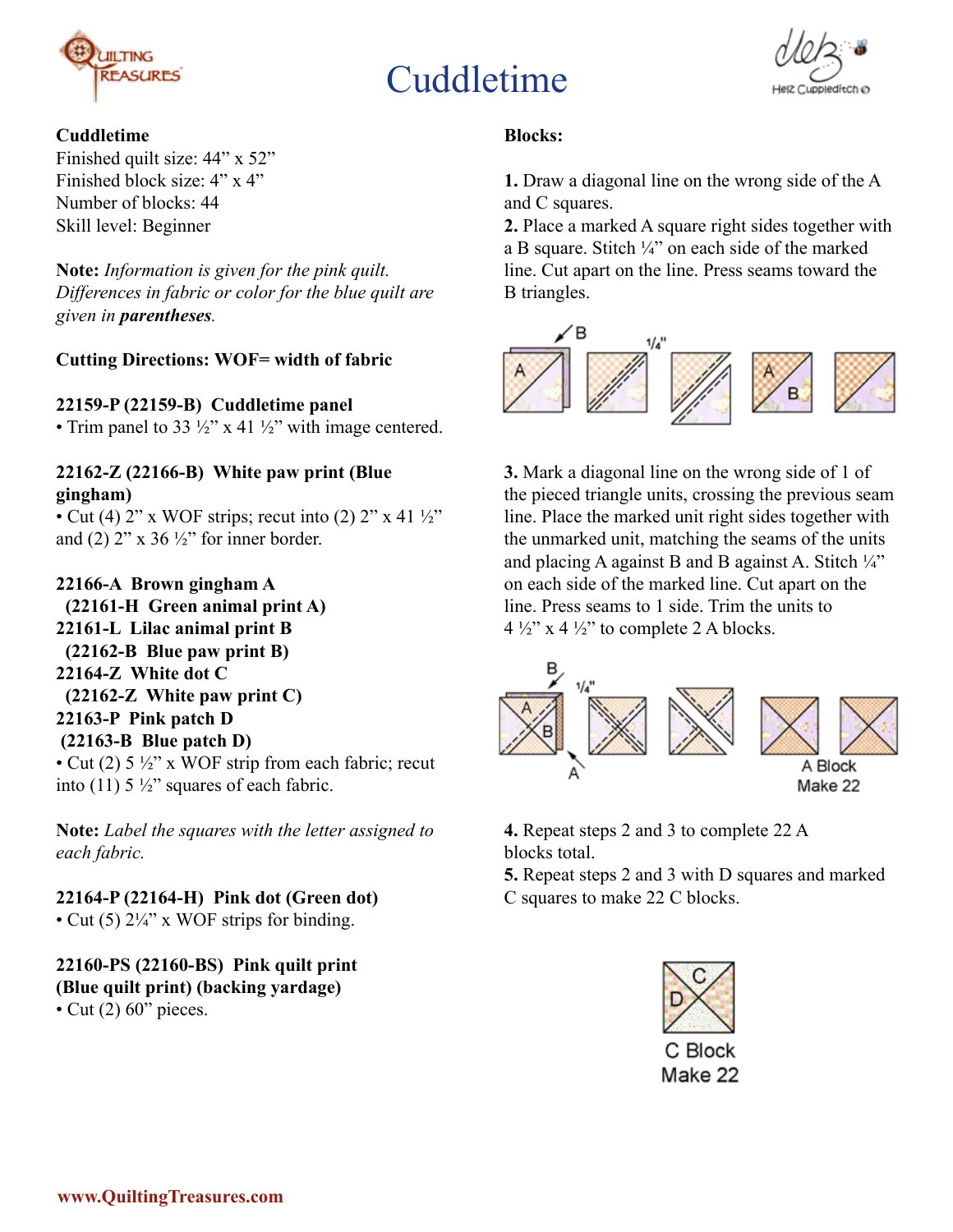



#### **Cuddletime**

Finished quilt size: 44" x 52" Finished block size: 4" x 4" Number of blocks: 44 Skill level: Beginner

**Note:** *Information is given for the pink quilt. Differences in fabric or color for the blue quilt are given in parentheses.*

#### **Cutting Directions: WOF= width of fabric**

**22159-P (22159-B) Cuddletime panel**

• Trim panel to 33  $\frac{1}{2}$ " x 41  $\frac{1}{2}$ " with image centered.

#### **22162-Z (22166-B) White paw print (Blue gingham)**

• Cut (4) 2" x WOF strips; recut into (2) 2" x 41  $\frac{1}{2}$ " and (2)  $2^{\prime\prime}$  x 36  $\frac{1}{2}^{\prime\prime}$  for inner border.

#### **22166-A Brown gingham A**

 **(22161-H Green animal print A) 22161-L Lilac animal print B (22162-B Blue paw print B) 22164-Z White dot C (22162-Z White paw print C) 22163-P Pink patch D (22163-B Blue patch D)**  • Cut (2)  $5\frac{1}{2}$ " x WOF strip from each fabric; recut into (11)  $5\frac{1}{2}$ " squares of each fabric.

**Note:** *Label the squares with the letter assigned to each fabric.* 

**22164-P (22164-H) Pink dot (Green dot)** • Cut (5)  $2\frac{1}{4}$ " x WOF strips for binding.

### **22160-PS (22160-BS) Pink quilt print (Blue quilt print) (backing yardage)**

• Cut  $(2)$  60" pieces.

#### **Blocks:**

**1.** Draw a diagonal line on the wrong side of the A and C squares.

**2.** Place a marked A square right sides together with a B square. Stitch ¼" on each side of the marked line. Cut apart on the line. Press seams toward the B triangles.



**3.** Mark a diagonal line on the wrong side of 1 of the pieced triangle units, crossing the previous seam line. Place the marked unit right sides together with the unmarked unit, matching the seams of the units and placing A against B and B against A. Stitch  $\frac{1}{4}$ " on each side of the marked line. Cut apart on the line. Press seams to 1 side. Trim the units to  $4\frac{1}{2}$ " x  $4\frac{1}{2}$ " to complete 2 A blocks.



**4.** Repeat steps 2 and 3 to complete 22 A blocks total.

**5.** Repeat steps 2 and 3 with D squares and marked C squares to make 22 C blocks.